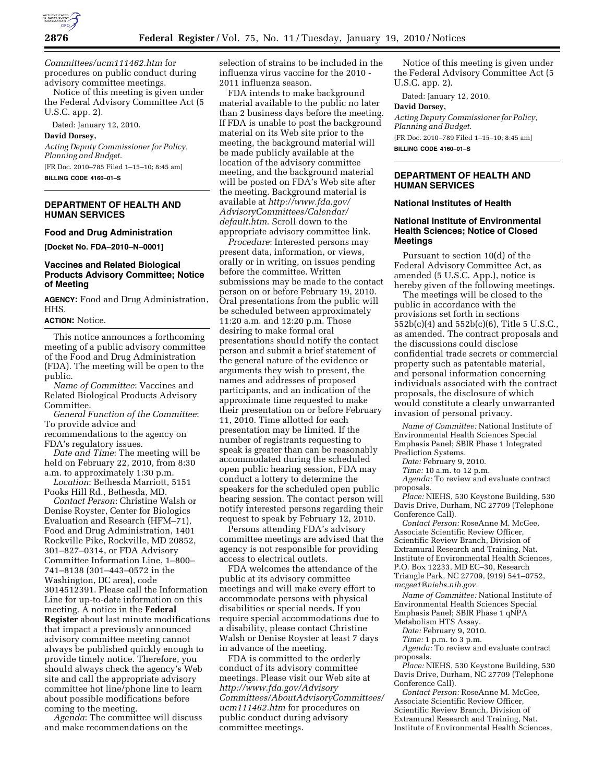

*Committees/ucm111462.htm* for procedures on public conduct during advisory committee meetings.

Notice of this meeting is given under the Federal Advisory Committee Act (5 U.S.C. app. 2).

Dated: January 12, 2010.

#### **David Dorsey,**

*Acting Deputy Commissioner for Policy, Planning and Budget.*  [FR Doc. 2010–785 Filed 1–15–10; 8:45 am] **BILLING CODE 4160–01–S** 

#### **DEPARTMENT OF HEALTH AND HUMAN SERVICES**

## **Food and Drug Administration**

**[Docket No. FDA–2010–N–0001]** 

# **Vaccines and Related Biological Products Advisory Committee; Notice of Meeting**

**AGENCY:** Food and Drug Administration, HHS.

### **ACTION:** Notice.

This notice announces a forthcoming meeting of a public advisory committee of the Food and Drug Administration (FDA). The meeting will be open to the public.

*Name of Committee*: Vaccines and Related Biological Products Advisory Committee.

*General Function of the Committee*: To provide advice and recommendations to the agency on

FDA's regulatory issues.

*Date and Time*: The meeting will be held on February 22, 2010, from 8:30 a.m. to approximately 1:30 p.m.

*Location*: Bethesda Marriott, 5151 Pooks Hill Rd., Bethesda, MD.

*Contact Person*: Christine Walsh or Denise Royster, Center for Biologics Evaluation and Research (HFM–71), Food and Drug Administration, 1401 Rockville Pike, Rockville, MD 20852, 301–827–0314, or FDA Advisory Committee Information Line, 1–800– 741–8138 (301–443–0572 in the Washington, DC area), code 3014512391. Please call the Information Line for up-to-date information on this meeting. A notice in the **Federal Register** about last minute modifications that impact a previously announced advisory committee meeting cannot always be published quickly enough to provide timely notice. Therefore, you should always check the agency's Web site and call the appropriate advisory committee hot line/phone line to learn about possible modifications before coming to the meeting.

*Agenda*: The committee will discuss and make recommendations on the

selection of strains to be included in the influenza virus vaccine for the 2010 - 2011 influenza season.

FDA intends to make background material available to the public no later than 2 business days before the meeting. If FDA is unable to post the background material on its Web site prior to the meeting, the background material will be made publicly available at the location of the advisory committee meeting, and the background material will be posted on FDA's Web site after the meeting. Background material is available at *http://www.fda.gov/ AdvisoryCommittees/Calendar/ default.htm*. Scroll down to the appropriate advisory committee link.

*Procedure*: Interested persons may present data, information, or views, orally or in writing, on issues pending before the committee. Written submissions may be made to the contact person on or before February 19, 2010. Oral presentations from the public will be scheduled between approximately 11:20 a.m. and 12:20 p.m. Those desiring to make formal oral presentations should notify the contact person and submit a brief statement of the general nature of the evidence or arguments they wish to present, the names and addresses of proposed participants, and an indication of the approximate time requested to make their presentation on or before February 11, 2010. Time allotted for each presentation may be limited. If the number of registrants requesting to speak is greater than can be reasonably accommodated during the scheduled open public hearing session, FDA may conduct a lottery to determine the speakers for the scheduled open public hearing session. The contact person will notify interested persons regarding their request to speak by February 12, 2010.

Persons attending FDA's advisory committee meetings are advised that the agency is not responsible for providing access to electrical outlets.

FDA welcomes the attendance of the public at its advisory committee meetings and will make every effort to accommodate persons with physical disabilities or special needs. If you require special accommodations due to a disability, please contact Christine Walsh or Denise Royster at least 7 days in advance of the meeting.

FDA is committed to the orderly conduct of its advisory committee meetings. Please visit our Web site at *http://www.fda.gov/Advisory Committees/AboutAdvisoryCommittees/ ucm111462.htm* for procedures on public conduct during advisory committee meetings.

Notice of this meeting is given under the Federal Advisory Committee Act (5 U.S.C. app. 2).

Dated: January 12, 2010.

#### **David Dorsey,**

*Acting Deputy Commissioner for Policy, Planning and Budget.*  [FR Doc. 2010–789 Filed 1–15–10; 8:45 am] **BILLING CODE 4160–01–S** 

## **DEPARTMENT OF HEALTH AND HUMAN SERVICES**

#### **National Institutes of Health**

## **National Institute of Environmental Health Sciences; Notice of Closed Meetings**

Pursuant to section 10(d) of the Federal Advisory Committee Act, as amended (5 U.S.C. App.), notice is hereby given of the following meetings.

The meetings will be closed to the public in accordance with the provisions set forth in sections 552b(c)(4) and 552b(c)(6), Title 5 U.S.C., as amended. The contract proposals and the discussions could disclose confidential trade secrets or commercial property such as patentable material, and personal information concerning individuals associated with the contract proposals, the disclosure of which would constitute a clearly unwarranted invasion of personal privacy.

*Name of Committee:* National Institute of Environmental Health Sciences Special Emphasis Panel; SBIR Phase 1 Integrated Prediction Systems.

*Date:* February 9, 2010.

*Time:* 10 a.m. to 12 p.m.

*Agenda:* To review and evaluate contract proposals.

*Place:* NIEHS, 530 Keystone Building, 530 Davis Drive, Durham, NC 27709 (Telephone Conference Call).

*Contact Person:* RoseAnne M. McGee, Associate Scientific Review Officer, Scientific Review Branch, Division of Extramural Research and Training, Nat. Institute of Environmental Health Sciences, P.O. Box 12233, MD EC–30, Research Triangle Park, NC 27709, (919) 541–0752, *mcgee1@niehs.nih.gov.* 

*Name of Committee:* National Institute of Environmental Health Sciences Special Emphasis Panel; SBIR Phase 1 qNPA Metabolism HTS Assay.

*Date:* February 9, 2010.

*Time:* 1 p.m. to 3 p.m.

*Agenda:* To review and evaluate contract proposals.

*Place:* NIEHS, 530 Keystone Building, 530 Davis Drive, Durham, NC 27709 (Telephone Conference Call).

*Contact Person:* RoseAnne M. McGee, Associate Scientific Review Officer, Scientific Review Branch, Division of Extramural Research and Training, Nat. Institute of Environmental Health Sciences,